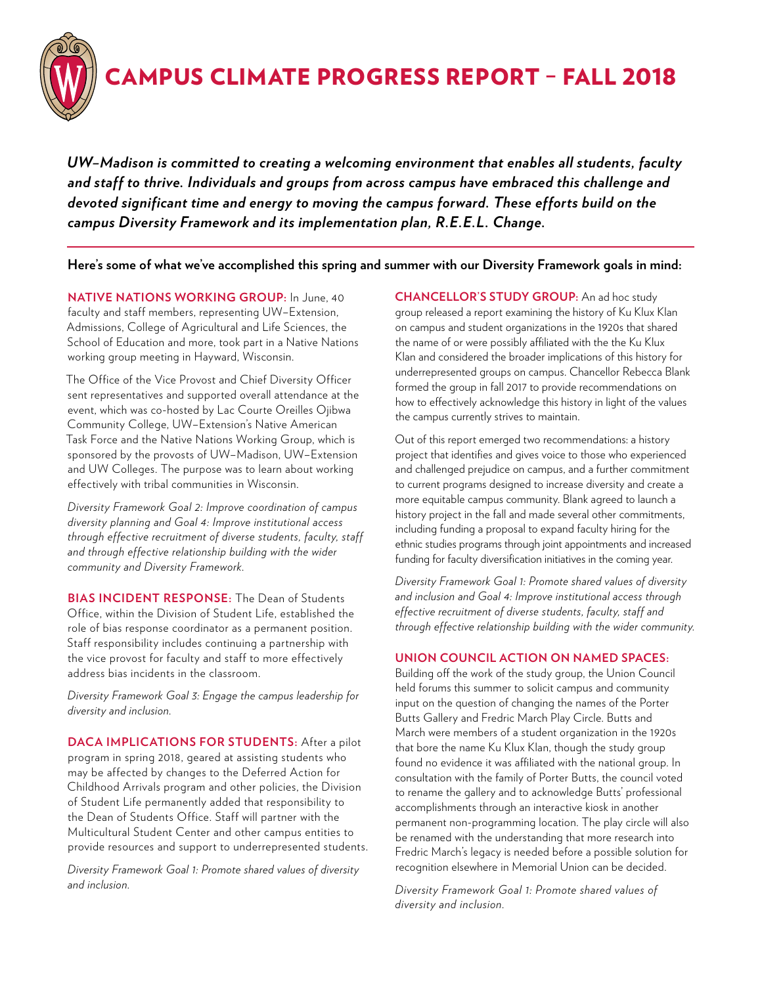

# CAMPUS CLIMATE PROGRESS REPORT – FALL 2018

*UW–Madison is committed to creating a welcoming environment that enables all students, faculty and staff to thrive. Individuals and groups from across campus have embraced this challenge and devoted significant time and energy to moving the campus forward. These efforts build on the campus Diversity Framework and its implementation plan, R.E.E.L. Change.* 

**Here's some of what we've accomplished this spring and summer with our Diversity Framework goals in mind:** 

**NATIVE NATIONS WORKING GROUP:** In June, 40 faculty and staff members, representing UW–Extension, Admissions, College of Agricultural and Life Sciences, the School of Education and more, took part in a Native Nations working group meeting in Hayward, Wisconsin.

The Office of the Vice Provost and Chief Diversity Officer sent representatives and supported overall attendance at the event, which was co-hosted by Lac Courte Oreilles Ojibwa Community College, UW–Extension's Native American Task Force and the Native Nations Working Group, which is sponsored by the provosts of UW–Madison, UW–Extension and UW Colleges. The purpose was to learn about working effectively with tribal communities in Wisconsin.

*Diversity Framework Goal 2: Improve coordination of campus diversity planning and Goal 4: Improve institutional access through effective recruitment of diverse students, faculty, staff and through effective relationship building with the wider community and Diversity Framework.*

**BIAS INCIDENT RESPONSE:** The Dean of Students Office, within the Division of Student Life, established the role of bias response coordinator as a permanent position. Staff responsibility includes continuing a partnership with the vice provost for faculty and staff to more effectively address bias incidents in the classroom.

*Diversity Framework Goal 3: Engage the campus leadership for diversity and inclusion.*

**DACA IMPLICATIONS FOR STUDENTS:** After a pilot program in spring 2018, geared at assisting students who may be affected by changes to the Deferred Action for Childhood Arrivals program and other policies, the Division of Student Life permanently added that responsibility to the Dean of Students Office. Staff will partner with the Multicultural Student Center and other campus entities to provide resources and support to underrepresented students.

*Diversity Framework Goal 1: Promote shared values of diversity and inclusion.*

**CHANCELLOR'S STUDY GROUP:** An ad hoc study group released a report examining the history of Ku Klux Klan on campus and student organizations in the 1920s that shared the name of or were possibly affiliated with the the Ku Klux Klan and considered the broader implications of this history for underrepresented groups on campus. Chancellor Rebecca Blank formed the group in fall 2017 to provide recommendations on how to effectively acknowledge this history in light of the values the campus currently strives to maintain.

Out of this report emerged two recommendations: a history project that identifies and gives voice to those who experienced and challenged prejudice on campus, and a further commitment to current programs designed to increase diversity and create a more equitable campus community. Blank agreed to launch a history project in the fall and made several other commitments, including funding a proposal to expand faculty hiring for the ethnic studies programs through joint appointments and increased funding for faculty diversification initiatives in the coming year.

*Diversity Framework Goal 1: Promote shared values of diversity and inclusion and Goal 4: Improve institutional access through effective recruitment of diverse students, faculty, staff and through effective relationship building with the wider community.*

## **UNION COUNCIL ACTION ON NAMED SPACES:**

Building off the work of the study group, the Union Council held forums this summer to solicit campus and community input on the question of changing the names of the Porter Butts Gallery and Fredric March Play Circle. Butts and March were members of a student organization in the 1920s that bore the name Ku Klux Klan, though the study group found no evidence it was affiliated with the national group. In consultation with the family of Porter Butts, the council voted to rename the gallery and to acknowledge Butts' professional accomplishments through an interactive kiosk in another permanent non-programming location. The play circle will also be renamed with the understanding that more research into Fredric March's legacy is needed before a possible solution for recognition elsewhere in Memorial Union can be decided.

*Diversity Framework Goal 1: Promote shared values of diversity and inclusion.*